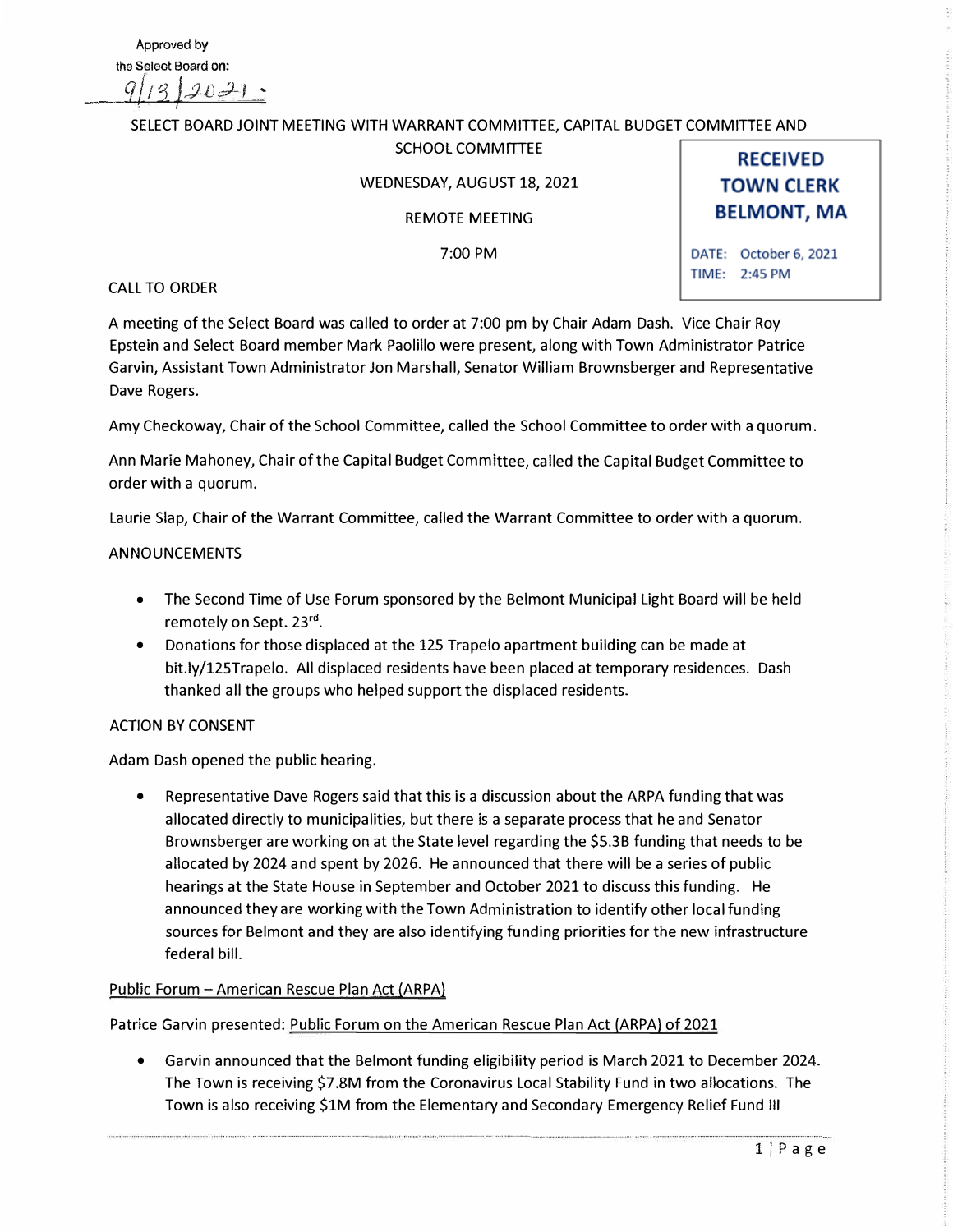### SELECT BOARD JOINT MEETING WITH WARRANT COMMITTEE, CAPITAL BUDGET COMMITTEE AND SCHOOL COMMITTEE

# WEDNESDAY, AUGUST 18, 2021

REMOTE MEETING

7:00PM

**TOWN CLERK BELMONT, MA** DATE: October 6, 2021

TIME: 2:45 PM

**RECEIVED** 

### CALL TO ORDER

A meeting of the Select Board was called to order at 7:00 pm by Chair Adam Dash. Vice Chair Roy Epstein and Select Board member Mark Paolillo were present, along with Town Administrator Patrice Garvin, Assistant Town Administrator Jon Marshall, Senator William Brownsberger and Representative Dave Rogers.

Amy Checkoway, Chair of the School Committee, called the School Committee to order with a quorum.

Ann Marie Mahoney, Chair of the Capital Budget Committee, called the Capital Budget Committee to order with a quorum.

Laurie Slap, Chair of the Warrant Committee, called the Warrant Committee to order with a quorum.

### ANNOUNCEMENTS

- The Second Time of Use Forum sponsored by the Belmont Municipal Light Board will be held remotely on Sept. 23<sup>rd</sup>.
- Donations for those displaced at the 125 Trapelo apartment building can be made at bit.ly/125Trapelo. All displaced residents have been placed at temporary residences. Dash thanked all the groups who helped support the displaced residents.

# ACTION BY CONSENT

Adam Dash opened the public hearing.

• Representative Dave Rogers said that this is a discussion about the ARPA funding that was allocated directly to municipalities, but there is a separate process that he and Senator Brownsberger are working on at the State level regarding the \$5.3B funding that needs to be allocated by 2024 and spent by 2026. He announced that there will be a series of public hearings at the State House in September and October 2021 to discuss this funding. He announced they are working with the Town Administration to identify other local funding sources for Belmont and they are also identifying funding priorities for the new infrastructure federal bill.

# Public Forum - American Rescue Plan Act (ARPA)

Patrice Garvin presented: Public Forum on the American Rescue Plan Act {ARPA) of 2021

• Garvin announced that the Belmont funding eligibility period is March 2021 to December 2024. The Town is receiving \$7.SM from the Coronavirus Local Stability Fund in two allocations. The Town is also receiving \$1M from the Elementary and Secondary Emergency Relief Fund Ill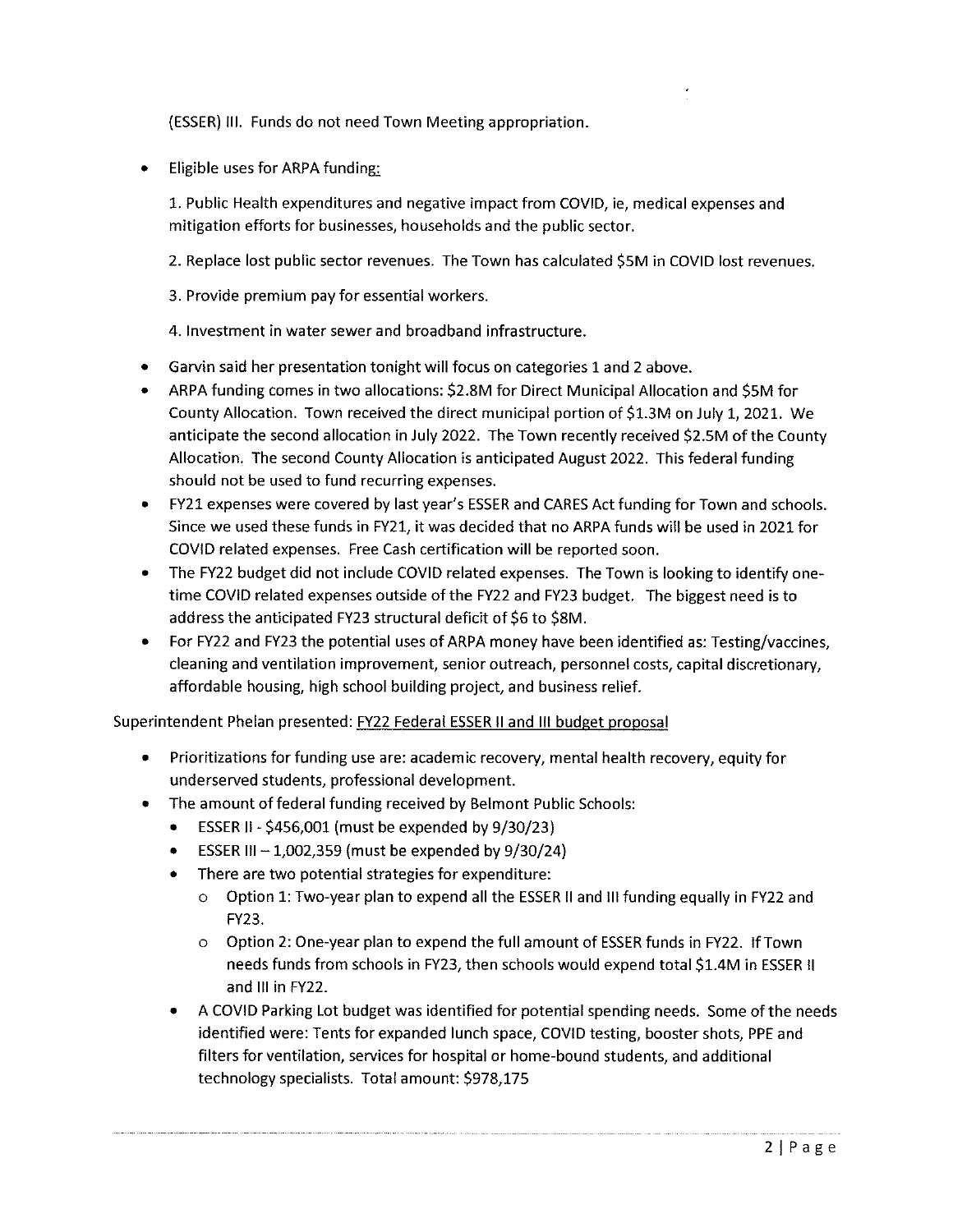(ESSER) III. Funds do not need Town Meeting appropriation.

Eligible uses for ARPA funding:

1. Public Health expenditures and negative impact from COVID, ie, medical expenses and mitigation efforts for businesses, households and the public sector.

- 2. Replace lost public sector revenues. The Town has calculated \$5M in COVID lost revenues.
- 3. Provide premium pay for essential workers.

4. Investment in water sewer and broadband infrastructure.

- Garvin said her presentation tonight will focus on categories 1 and 2 above.
- ARPA funding comes in two allocations: \$2.8M for Direct Municipal Allocation and \$5M for  $\bullet$ County Allocation. Town received the direct municipal portion of \$1.3M on July 1, 2021. We anticipate the second allocation in July 2022. The Town recently received \$2.5M of the County Allocation. The second County Allocation is anticipated August 2022. This federal funding should not be used to fund recurring expenses.
- FY21 expenses were covered by last year's ESSER and CARES Act funding for Town and schools. Since we used these funds in FY21, it was decided that no ARPA funds will be used in 2021 for COVID related expenses. Free Cash certification will be reported soon.
- The FY22 budget did not include COVID related expenses. The Town is looking to identify onetime COVID related expenses outside of the FY22 and FY23 budget. The biggest need is to address the anticipated FY23 structural deficit of \$6 to \$8M.
- For FY22 and FY23 the potential uses of ARPA money have been identified as: Testing/vaccines, cleaning and ventilation improvement, senior outreach, personnel costs, capital discretionary, affordable housing, high school building project, and business relief.

Superintendent Phelan presented: FY22 Federal ESSER II and III budget proposal

- Prioritizations for funding use are: academic recovery, mental health recovery, equity for underserved students, professional development.
- The amount of federal funding received by Belmont Public Schools:
	- ESSER II \$456,001 (must be expended by  $9/30/23$ )
	- ESSER III 1,002,359 (must be expended by  $9/30/24$ )
	- There are two potential strategies for expenditure:  $\bullet$ 
		- o Option 1: Two-year plan to expend all the ESSER II and III funding equally in FY22 and FY23.
		- Option 2: One-year plan to expend the full amount of ESSER funds in FY22. If Town  $\circ$ needs funds from schools in FY23, then schools would expend total \$1.4M in ESSER II and III in FY22.
	- A COVID Parking Lot budget was identified for potential spending needs. Some of the needs  $\bullet$ identified were: Tents for expanded lunch space, COVID testing, booster shots, PPE and filters for ventilation, services for hospital or home-bound students, and additional technology specialists. Total amount: \$978,175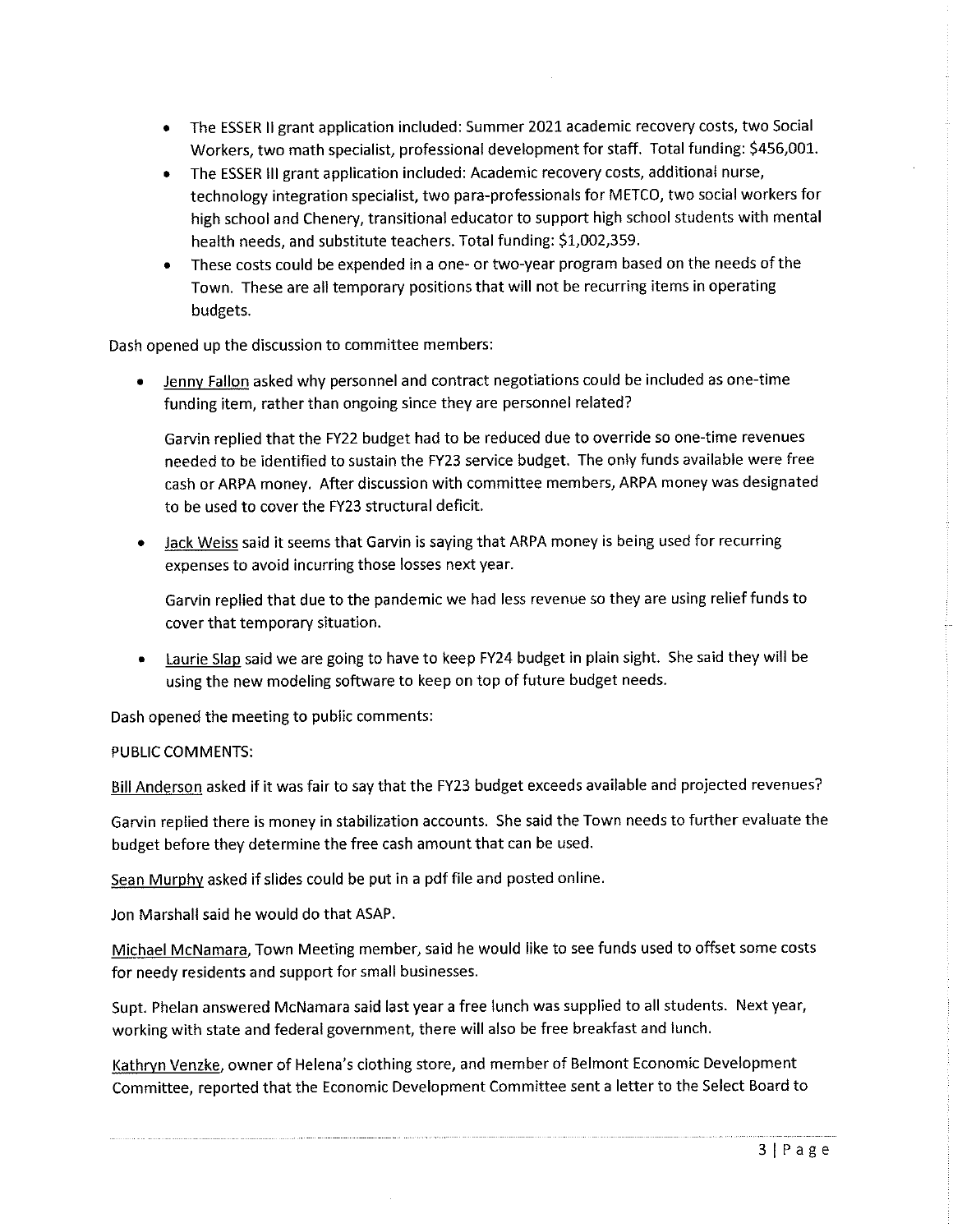- The ESSER II grant application included: Summer 2021 academic recovery costs, two Social  $\bullet$ Workers, two math specialist, professional development for staff. Total funding: \$456,001.
- The ESSER III grant application included: Academic recovery costs, additional nurse, technology integration specialist, two para-professionals for METCO, two social workers for high school and Chenery, transitional educator to support high school students with mental health needs, and substitute teachers. Total funding: \$1,002,359.
- These costs could be expended in a one- or two-year program based on the needs of the Town. These are all temporary positions that will not be recurring items in operating budgets.

Dash opened up the discussion to committee members:

Jenny Fallon asked why personnel and contract negotiations could be included as one-time funding item, rather than ongoing since they are personnel related?

Garvin replied that the FY22 budget had to be reduced due to override so one-time revenues needed to be identified to sustain the FY23 service budget. The only funds available were free cash or ARPA money. After discussion with committee members, ARPA money was designated to be used to cover the FY23 structural deficit.

Jack Weiss said it seems that Garvin is saying that ARPA money is being used for recurring expenses to avoid incurring those losses next year.

Garvin replied that due to the pandemic we had less revenue so they are using relief funds to cover that temporary situation.

Laurie Slap said we are going to have to keep FY24 budget in plain sight. She said they will be using the new modeling software to keep on top of future budget needs.

Dash opened the meeting to public comments:

#### PUBLIC COMMENTS:

Bill Anderson asked if it was fair to say that the FY23 budget exceeds available and projected revenues?

Garvin replied there is money in stabilization accounts. She said the Town needs to further evaluate the budget before they determine the free cash amount that can be used.

Sean Murphy asked if slides could be put in a pdf file and posted online.

Jon Marshall said he would do that ASAP.

Michael McNamara, Town Meeting member, said he would like to see funds used to offset some costs for needy residents and support for small businesses.

Supt. Phelan answered McNamara said last year a free lunch was supplied to all students. Next year, working with state and federal government, there will also be free breakfast and lunch.

Kathryn Venzke, owner of Helena's clothing store, and member of Belmont Economic Development Committee, reported that the Economic Development Committee sent a letter to the Select Board to